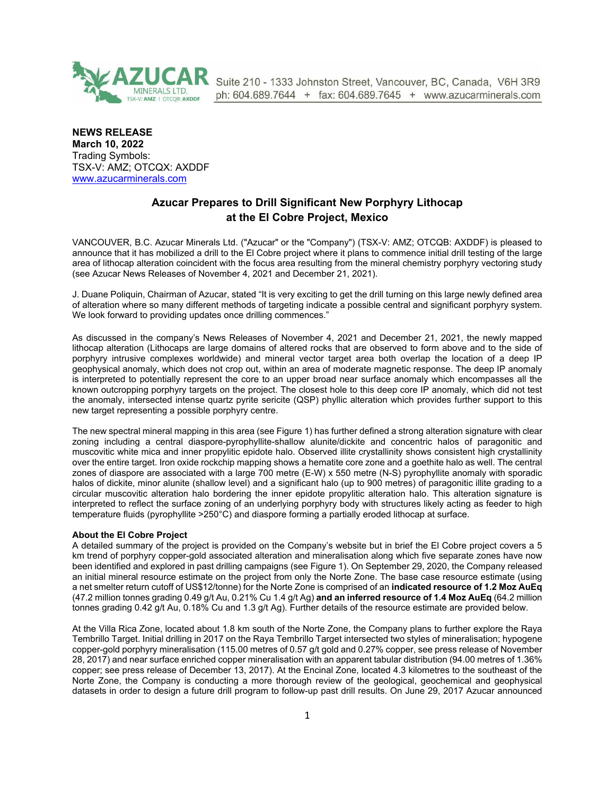

Suite 210 - 1333 Johnston Street, Vancouver, BC, Canada, V6H 3R9 ph: 604.689.7644 + fax: 604.689.7645 + www.azucarminerals.com

**NEWS RELEASE March 10, 2022** Trading Symbols: TSX-V: AMZ; OTCQX: AXDDF [www.azucarminerals.com](http://www.azucarminerals.com/)

# **Azucar Prepares to Drill Significant New Porphyry Lithocap at the El Cobre Project, Mexico**

VANCOUVER, B.C. Azucar Minerals Ltd. ("Azucar" or the "Company") (TSX-V: AMZ; OTCQB: AXDDF) is pleased to announce that it has mobilized a drill to the El Cobre project where it plans to commence initial drill testing of the large area of lithocap alteration coincident with the focus area resulting from the mineral chemistry porphyry vectoring study (see Azucar News Releases of November 4, 2021 and December 21, 2021).

J. Duane Poliquin, Chairman of Azucar, stated "It is very exciting to get the drill turning on this large newly defined area of alteration where so many different methods of targeting indicate a possible central and significant porphyry system. We look forward to providing updates once drilling commences."

As discussed in the company's News Releases of November 4, 2021 and December 21, 2021, the newly mapped lithocap alteration (Lithocaps are large domains of altered rocks that are observed to form above and to the side of porphyry intrusive complexes worldwide) and mineral vector target area both overlap the location of a deep IP geophysical anomaly, which does not crop out, within an area of moderate magnetic response. The deep IP anomaly is interpreted to potentially represent the core to an upper broad near surface anomaly which encompasses all the known outcropping porphyry targets on the project. The closest hole to this deep core IP anomaly, which did not test the anomaly, intersected intense quartz pyrite sericite (QSP) phyllic alteration which provides further support to this new target representing a possible porphyry centre.

The new spectral mineral mapping in this area (see Figure 1) has further defined a strong alteration signature with clear zoning including a central diaspore-pyrophyllite-shallow alunite/dickite and concentric halos of paragonitic and muscovitic white mica and inner propylitic epidote halo. Observed illite crystallinity shows consistent high crystallinity over the entire target. Iron oxide rockchip mapping shows a hematite core zone and a goethite halo as well. The central zones of diaspore are associated with a large 700 metre (E-W) x 550 metre (N-S) pyrophyllite anomaly with sporadic halos of dickite, minor alunite (shallow level) and a significant halo (up to 900 metres) of paragonitic illite grading to a circular muscovitic alteration halo bordering the inner epidote propylitic alteration halo. This alteration signature is interpreted to reflect the surface zoning of an underlying porphyry body with structures likely acting as feeder to high temperature fluids (pyrophyllite >250°C) and diaspore forming a partially eroded lithocap at surface.

#### **About the El Cobre Project**

A detailed summary of the project is provided on the Company's website but in brief the El Cobre project covers a 5 km trend of porphyry copper-gold associated alteration and mineralisation along which five separate zones have now been identified and explored in past drilling campaigns (see Figure 1). On September 29, 2020, the Company released an initial mineral resource estimate on the project from only the Norte Zone. The base case resource estimate (using a net smelter return cutoff of US\$12/tonne) for the Norte Zone is comprised of an **indicated resource of 1.2 Moz AuEq** (47.2 million tonnes grading 0.49 g/t Au, 0.21% Cu 1.4 g/t Ag) **and an inferred resource of 1.4 Moz AuEq** (64.2 million tonnes grading 0.42 g/t Au, 0.18% Cu and 1.3 g/t Ag). Further details of the resource estimate are provided below.

At the Villa Rica Zone, located about 1.8 km south of the Norte Zone, the Company plans to further explore the Raya Tembrillo Target. Initial drilling in 2017 on the Raya Tembrillo Target intersected two styles of mineralisation; hypogene copper-gold porphyry mineralisation (115.00 metres of 0.57 g/t gold and 0.27% copper, see press release of November 28, 2017) and near surface enriched copper mineralisation with an apparent tabular distribution (94.00 metres of 1.36% copper; see press release of December 13, 2017). At the Encinal Zone, located 4.3 kilometres to the southeast of the Norte Zone, the Company is conducting a more thorough review of the geological, geochemical and geophysical datasets in order to design a future drill program to follow-up past drill results. On June 29, 2017 Azucar announced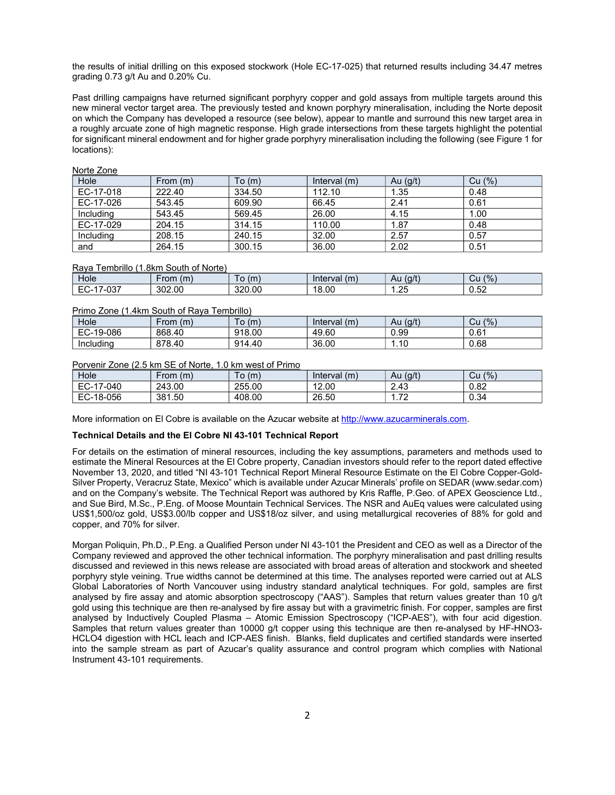the results of initial drilling on this exposed stockwork (Hole EC-17-025) that returned results including 34.47 metres grading 0.73 g/t Au and 0.20% Cu.

Past drilling campaigns have returned significant porphyry copper and gold assays from multiple targets around this new mineral vector target area. The previously tested and known porphyry mineralisation, including the Norte deposit on which the Company has developed a resource (see below), appear to mantle and surround this new target area in a roughly arcuate zone of high magnetic response. High grade intersections from these targets highlight the potential for significant mineral endowment and for higher grade porphyry mineralisation including the following (see Figure 1 for locations):

| <b>INVITE COLIC</b> |          |        |                |            |        |  |
|---------------------|----------|--------|----------------|------------|--------|--|
| Hole                | From (m) | To (m) | Interval $(m)$ | Au $(g/t)$ | Cu (%) |  |
| EC-17-018           | 222.40   | 334.50 | 112.10         | 1.35       | 0.48   |  |
| EC-17-026           | 543.45   | 609.90 | 66.45          | 2.41       | 0.61   |  |
| Including           | 543.45   | 569.45 | 26.00          | 4.15       | 1.00   |  |
| EC-17-029           | 204.15   | 314.15 | 110.00         | 1.87       | 0.48   |  |
| Including           | 208.15   | 240.15 | 32.00          | 2.57       | 0.57   |  |
| and                 | 264.15   | 300.15 | 36.00          | 2.02       | 0.51   |  |

## Norte Zone

#### Raya Tembrillo (1.8km South of Norte)

| Hole                  | (m)<br>∙rom | (m)    | (m)<br>Interval | (g/t)<br>Au | (9/6)<br>υu                               |
|-----------------------|-------------|--------|-----------------|-------------|-------------------------------------------|
| $\sim$<br>-U3/<br>ヒしー | 302.00      | 320.00 | 18.00           | ົດຂ<br>ں ے. | $\Gamma$<br>$\ddot{\phantom{1}}$<br>,ບ.ບ∠ |

#### Primo Zone (1.4km South of Raya Tembrillo)

| Hole      | (m)<br>⊦rom | (m)    | (m)<br>Interval | (g/t)<br>Au | (9/6)<br>Cu |
|-----------|-------------|--------|-----------------|-------------|-------------|
| EC-19-086 | 868.40      | 918.00 | 49.60           | 0.99        | 0.61        |
| Including | 878.40      | 914.40 | 36.00           | .10         | 0.68        |

### Porvenir Zone (2.5 km SE of Norte, 1.0 km west of Primo

| Hole                           | (m)<br>-rom | ັo (m) | (m)<br>Interval | (g/t)<br>Au | (9/6)<br>Cu |
|--------------------------------|-------------|--------|-----------------|-------------|-------------|
| EC-.<br>7-040<br>$\rightarrow$ | 243.00      | 255.00 | 12.00           | 2.43        | 0.82        |
| EC-<br>-18-056                 | 381.50      | 408.00 | 26.50           | 70<br>.     | 0.34        |

More information on El Cobre is available on the Azucar website at [http://www.azucarminerals.com](http://www.azucarminerals.com/).

#### **Technical Details and the El Cobre NI 43-101 Technical Report**

For details on the estimation of mineral resources, including the key assumptions, parameters and methods used to estimate the Mineral Resources at the El Cobre property, Canadian investors should refer to the report dated effective November 13, 2020, and titled "NI 43-101 Technical Report Mineral Resource Estimate on the El Cobre Copper-Gold-Silver Property, Veracruz State, Mexico" which is available under Azucar Minerals' profile on SEDAR ([www.sedar.com](https://www.globenewswire.com/Tracker?data=H97e7xp4OnnhH6KKINIULm1PmCrjO785f-crMi0jMOZv6JU_6JnToF5WG9MWBuyryHVo541vCuqmhSK4Le-I4g==)) and on the Company's website. The Technical Report was authored by Kris Raffle, P.Geo. of APEX Geoscience Ltd., and Sue Bird, M.Sc., P.Eng. of Moose Mountain Technical Services. The NSR and AuEq values were calculated using US\$1,500/oz gold, US\$3.00/lb copper and US\$18/oz silver, and using metallurgical recoveries of 88% for gold and copper, and 70% for silver.

Morgan Poliquin, Ph.D., P.Eng. a Qualified Person under NI 43-101 the President and CEO as well as a Director of the Company reviewed and approved the other technical information. The porphyry mineralisation and past drilling results discussed and reviewed in this news release are associated with broad areas of alteration and stockwork and sheeted porphyry style veining. True widths cannot be determined at this time. The analyses reported were carried out at ALS Global Laboratories of North Vancouver using industry standard analytical techniques. For gold, samples are first analysed by fire assay and atomic absorption spectroscopy ("AAS"). Samples that return values greater than 10 g/t gold using this technique are then re-analysed by fire assay but with a gravimetric finish. For copper, samples are first analysed by Inductively Coupled Plasma – Atomic Emission Spectroscopy ("ICP-AES"), with four acid digestion. Samples that return values greater than 10000 g/t copper using this technique are then re-analysed by HF-HNO3- HCLO4 digestion with HCL leach and ICP-AES finish. Blanks, field duplicates and certified standards were inserted into the sample stream as part of Azucar's quality assurance and control program which complies with National Instrument 43-101 requirements.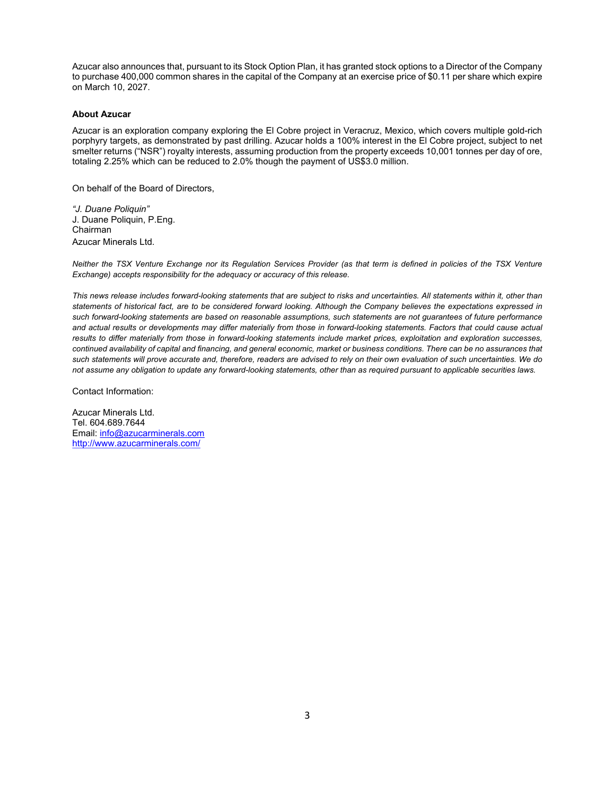Azucar also announces that, pursuant to its Stock Option Plan, it has granted stock options to a Director of the Company to purchase 400,000 common shares in the capital of the Company at an exercise price of \$0.11 per share which expire on March 10, 2027.

#### **About Azucar**

Azucar is an exploration company exploring the El Cobre project in Veracruz, Mexico, which covers multiple gold-rich porphyry targets, as demonstrated by past drilling. Azucar holds a 100% interest in the El Cobre project, subject to net smelter returns ("NSR") royalty interests, assuming production from the property exceeds 10,001 tonnes per day of ore, totaling 2.25% which can be reduced to 2.0% though the payment of US\$3.0 million.

On behalf of the Board of Directors,

*"J. Duane Poliquin"* J. Duane Poliquin, P.Eng. Chairman Azucar Minerals Ltd.

*Neither the TSX Venture Exchange nor its Regulation Services Provider (as that term is defined in policies of the TSX Venture Exchange) accepts responsibility for the adequacy or accuracy of this release.* 

*This news release includes forward-looking statements that are subject to risks and uncertainties. All statements within it, other than statements of historical fact, are to be considered forward looking. Although the Company believes the expectations expressed in such forward-looking statements are based on reasonable assumptions, such statements are not guarantees of future performance and actual results or developments may differ materially from those in forward-looking statements. Factors that could cause actual results to differ materially from those in forward-looking statements include market prices, exploitation and exploration successes, continued availability of capital and financing, and general economic, market or business conditions. There can be no assurances that such statements will prove accurate and, therefore, readers are advised to rely on their own evaluation of such uncertainties. We do not assume any obligation to update any forward-looking statements, other than as required pursuant to applicable securities laws.*

Contact Information:

Azucar Minerals Ltd. Tel. 604.689.7644 Email: [info@azucarminerals.com](mailto:info@azucarminerals.com) <http://www.azucarminerals.com/>